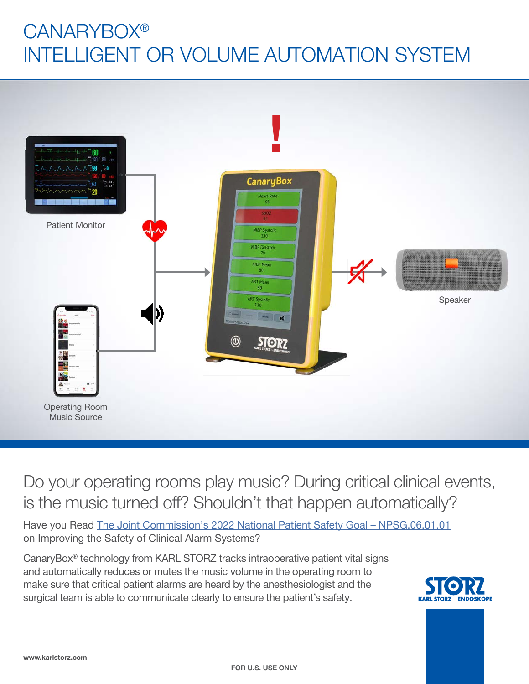# **CANARYBOX®** INTELLIGENT OR VOLUME AUTOMATION SYSTEM



## Do your operating rooms play music? During critical clinical events, is the music turned off? Shouldn't that happen automatically?

Have you Read The Joint Commission's 2022 National Patient Safety Goal - NPSG.06.01.01 on Improving the Safety of Clinical Alarm Systems?

CanaryBox® technology from KARL STORZ tracks intraoperative patient vital signs and automatically reduces or mutes the music volume in the operating room to make sure that critical patient alarms are heard by the anesthesiologist and the surgical team is able to communicate clearly to ensure the patient's safety.